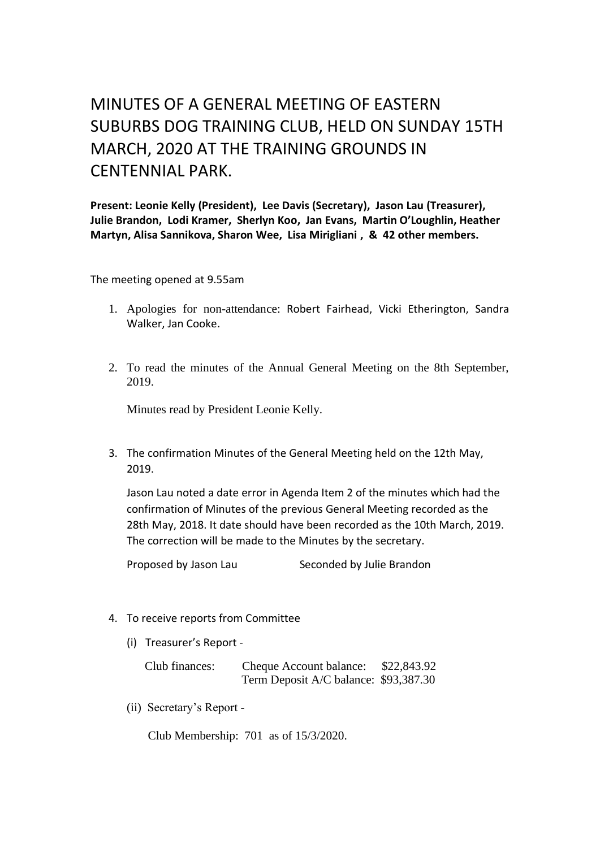## MINUTES OF A GENERAL MEETING OF EASTERN SUBURBS DOG TRAINING CLUB, HELD ON SUNDAY 15TH MARCH, 2020 AT THE TRAINING GROUNDS IN CENTENNIAL PARK.

**Present: Leonie Kelly (President), Lee Davis (Secretary), Jason Lau (Treasurer), Julie Brandon, Lodi Kramer, Sherlyn Koo, Jan Evans, Martin O'Loughlin, Heather Martyn, Alisa Sannikova, Sharon Wee, Lisa Mirigliani , & 42 other members.**

The meeting opened at 9.55am

- 1. Apologies for non-attendance: Robert Fairhead, Vicki Etherington, Sandra Walker, Jan Cooke.
- 2. To read the minutes of the Annual General Meeting on the 8th September, 2019.

Minutes read by President Leonie Kelly.

3. The confirmation Minutes of the General Meeting held on the 12th May, 2019.

Jason Lau noted a date error in Agenda Item 2 of the minutes which had the confirmation of Minutes of the previous General Meeting recorded as the 28th May, 2018. It date should have been recorded as the 10th March, 2019. The correction will be made to the Minutes by the secretary.

Proposed by Jason Lau Seconded by Julie Brandon

- 4. To receive reports from Committee
	- (i) Treasurer's Report -

| Club finances: | Cheque Account balance:               | \$22,843.92 |
|----------------|---------------------------------------|-------------|
|                | Term Deposit A/C balance: \$93,387.30 |             |

(ii) Secretary's Report -

Club Membership: 701 as of 15/3/2020.